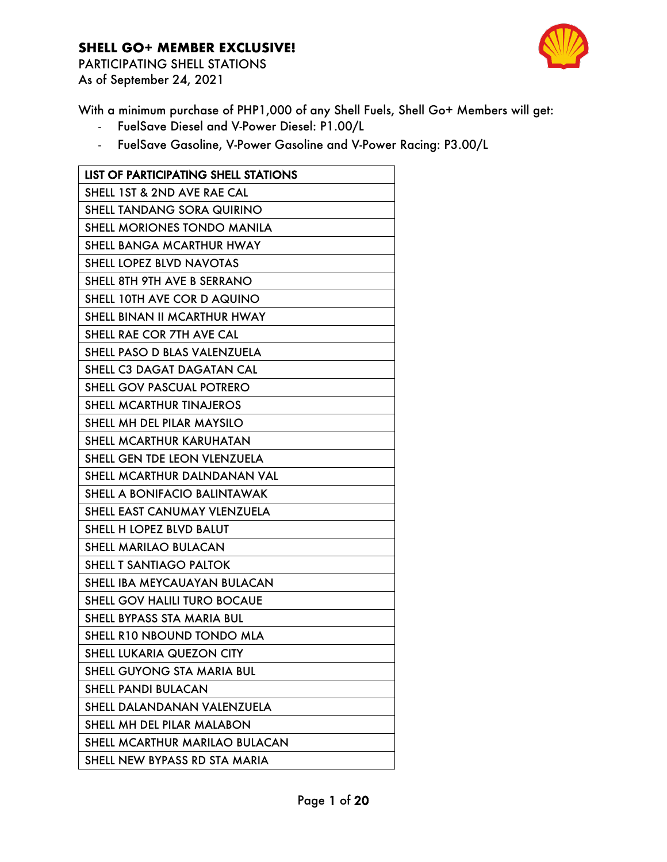

PARTICIPATING SHELL STATIONS As of September 24, 2021

With a minimum purchase of PHP1,000 of any Shell Fuels, Shell Go+ Members will get:

- FuelSave Diesel and V-Power Diesel: P1.00/L
- FuelSave Gasoline, V-Power Gasoline and V-Power Racing: P3.00/L

| <b>LIST OF PARTICIPATING SHELL STATIONS</b> |
|---------------------------------------------|
| SHELL 1ST & 2ND AVE RAE CAL                 |
| SHELL TANDANG SORA QUIRINO                  |
| SHELL MORIONES TONDO MANILA                 |
| SHELL BANGA MCARTHUR HWAY                   |
| SHELL LOPEZ BLVD NAVOTAS                    |
| SHELL 8TH 9TH AVE B SERRANO                 |
| SHELL 10TH AVE COR D AQUINO                 |
| SHELL BINAN II MCARTHUR HWAY                |
| SHELL RAE COR 7TH AVE CAL                   |
| SHELL PASO D BLAS VALENZUELA                |
| SHELL C3 DAGAT DAGATAN CAL                  |
| SHELL GOV PASCUAL POTRERO                   |
| <b>SHELL MCARTHUR TINAJEROS</b>             |
| SHELL MH DEL PILAR MAYSILO                  |
| SHELL MCARTHUR KARUHATAN                    |
| SHELL GEN TDE LEON VLENZUELA                |
| SHELL MCARTHUR DALNDANAN VAL                |
| SHELL A BONIFACIO BALINTAWAK                |
| SHELL EAST CANUMAY VLENZUELA                |
| SHELL H LOPEZ BLVD BALUT                    |
| SHELL MARILAO BULACAN                       |
| SHELL T SANTIAGO PALTOK                     |
| SHELL IBA MEYCAUAYAN BULACAN                |
| SHELL GOV HALILI TURO BOCAUE                |
| SHELL BYPASS STA MARIA BUL                  |
| SHELL R10 NBOUND TONDO MLA                  |
| SHELL LUKARIA QUEZON CITY                   |
| SHELL GUYONG STA MARIA BUL                  |
| <b>SHELL PANDI BULACAN</b>                  |
| SHELL DALANDANAN VALENZUELA                 |
| SHELL MH DEL PILAR MALABON                  |
| SHELL MCARTHUR MARILAO BULACAN              |
| SHELL NEW BYPASS RD STA MARIA               |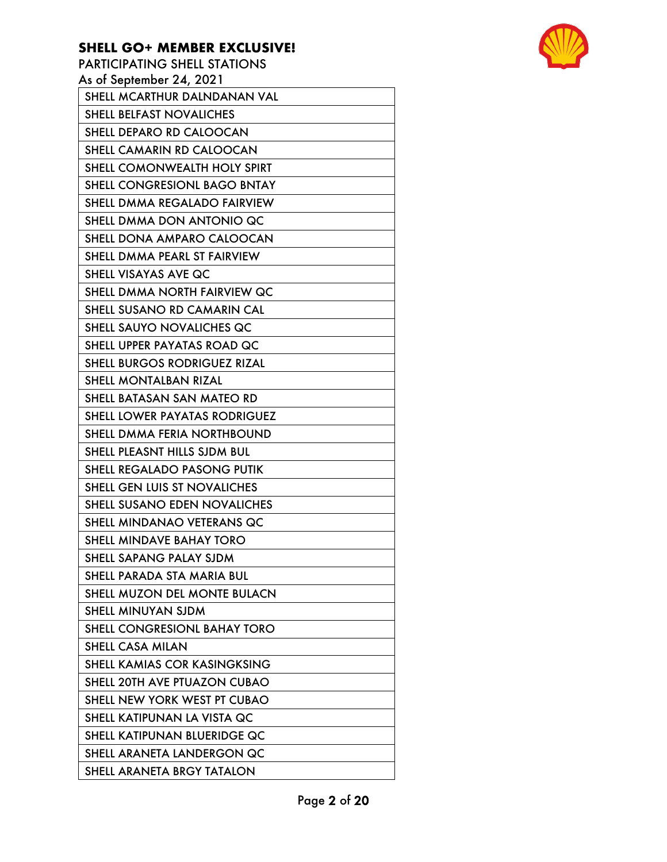PARTICIPATING SHELL STATIONS As of September 24, 2021 SHELL MCARTHUR DALNDANAN VAL SHELL BELFAST NOVALICHES SHELL DEPARO RD CALOOCAN SHELL CAMARIN RD CALOOCAN SHELL COMONWEALTH HOLY SPIRT SHELL CONGRESIONL BAGO BNTAY SHELL DMMA REGALADO FAIRVIEW SHELL DMMA DON ANTONIO QC SHELL DONA AMPARO CALOOCAN SHELL DMMA PEARL ST FAIRVIEW SHELL VISAYAS AVE QC SHELL DMMA NORTH FAIRVIEW QC SHELL SUSANO RD CAMARIN CAL SHELL SAUYO NOVALICHES QC SHELL UPPER PAYATAS ROAD QC SHELL BURGOS RODRIGUEZ RIZAL SHELL MONTALBAN RIZAL SHELL BATASAN SAN MATEO RD SHELL LOWER PAYATAS RODRIGUEZ SHELL DMMA FERIA NORTHBOUND SHELL PLEASNT HILLS SJDM BUL SHELL REGALADO PASONG PUTIK SHELL GEN LUIS ST NOVALICHES SHELL SUSANO EDEN NOVALICHES SHELL MINDANAO VETERANS QC SHELL MINDAVE BAHAY TORO SHELL SAPANG PALAY SJDM SHELL PARADA STA MARIA BUL SHELL MUZON DEL MONTE BULACN SHELL MINUYAN SJDM SHELL CONGRESIONL BAHAY TORO SHELL CASA MILAN SHELL KAMIAS COR KASINGKSING SHELL 20TH AVE PTUAZON CUBAO SHELL NEW YORK WEST PT CUBAO SHELL KATIPUNAN LA VISTA QC SHELL KATIPUNAN BLUERIDGE QC SHELL ARANETA LANDERGON QC SHELL ARANETA BRGY TATALON

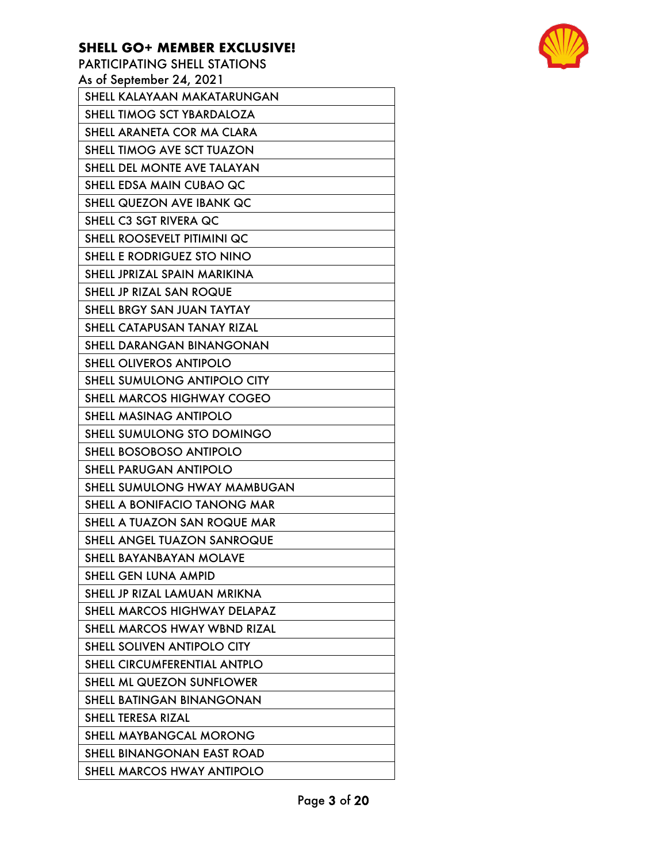PARTICIPATING SHELL STATIONS As of September 24, 2021 SHELL KALAYAAN MAKATARUNGAN SHELL TIMOG SCT YBARDALOZA SHELL ARANETA COR MA CLARA SHELL TIMOG AVE SCT TUAZON SHELL DEL MONTE AVE TALAYAN SHELL EDSA MAIN CUBAO QC SHELL QUEZON AVE IBANK QC SHELL C3 SGT RIVERA QC SHELL ROOSEVELT PITIMINI QC SHELL E RODRIGUEZ STO NINO SHELL JPRIZAL SPAIN MARIKINA SHELL JP RIZAL SAN ROQUE SHELL BRGY SAN JUAN TAYTAY SHELL CATAPUSAN TANAY RIZAL SHELL DARANGAN BINANGONAN SHELL OLIVEROS ANTIPOLO SHELL SUMULONG ANTIPOLO CITY

SHELL MARCOS HIGHWAY COGEO SHELL MASINAG ANTIPOLO

SHELL SUMULONG STO DOMINGO

SHELL BOSOBOSO ANTIPOLO SHELL PARUGAN ANTIPOLO

SHELL SUMULONG HWAY MAMBUGAN

SHELL A BONIFACIO TANONG MAR

SHELL A TUAZON SAN ROQUE MAR

SHELL ANGEL TUAZON SANROQUE

SHELL BAYANBAYAN MOLAVE

SHELL GEN LUNA AMPID

SHELL JP RIZAL LAMUAN MRIKNA SHELL MARCOS HIGHWAY DELAPAZ

SHELL MARCOS HWAY WBND RIZAL SHELL SOLIVEN ANTIPOLO CITY

SHELL CIRCUMFERENTIAL ANTPLO

SHELL ML QUEZON SUNFLOWER

SHELL BATINGAN BINANGONAN

SHELL TERESA RIZAL

SHELL MAYBANGCAL MORONG

SHELL BINANGONAN EAST ROAD

SHELL MARCOS HWAY ANTIPOLO

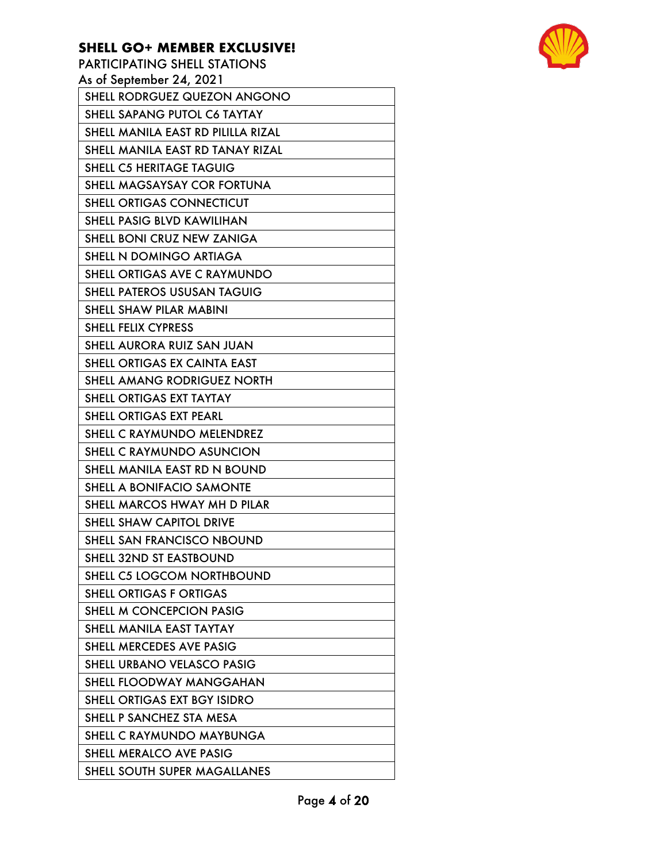PARTICIPATING SHELL STATIONS

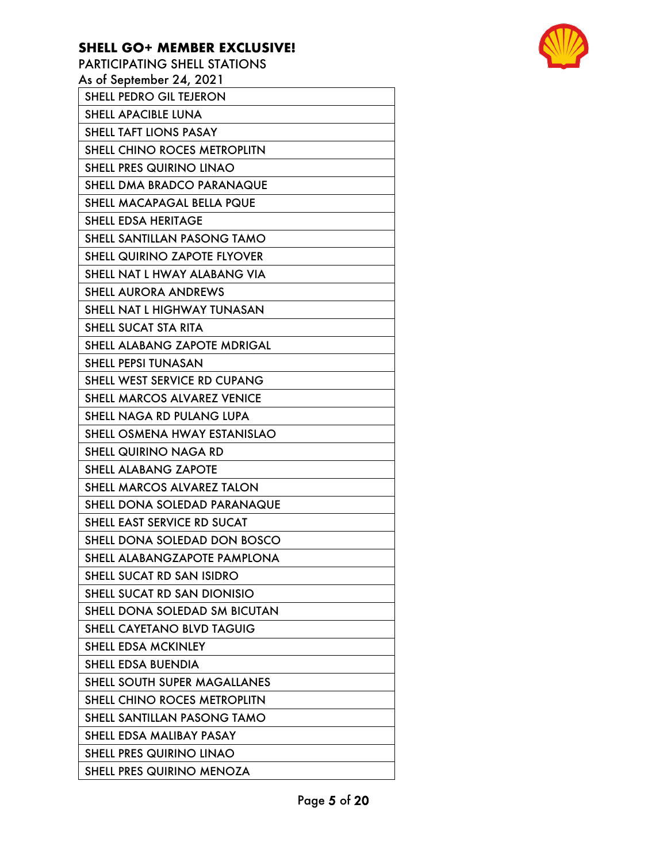| PARTICIPATING SHELL STATIONS        |
|-------------------------------------|
| As of September 24, 2021            |
| SHELL PEDRO GIL TEJERON             |
| <b>SHELL APACIBLE LUNA</b>          |
| <b>SHELL TAFT LIONS PASAY</b>       |
| SHELL CHINO ROCES METROPLITN        |
| <b>SHELL PRES QUIRINO LINAO</b>     |
| SHELL DMA BRADCO PARANAQUE          |
| SHELL MACAPAGAL BELLA PQUE          |
| <b>SHELL EDSA HERITAGE</b>          |
| SHELL SANTILLAN PASONG TAMO         |
| <b>SHELL QUIRINO ZAPOTE FLYOVER</b> |
| SHELL NAT L HWAY ALABANG VIA        |
| <b>SHELL AURORA ANDREWS</b>         |
| SHELL NAT L HIGHWAY TUNASAN         |
| SHELL SUCAT STA RITA                |
| <b>SHELL ALABANG ZAPOTE MDRIGAL</b> |
| <b>SHELL PEPSI TUNASAN</b>          |
| SHELL WEST SERVICE RD CUPANG        |
| <b>SHELL MARCOS ALVAREZ VENICE</b>  |
| SHELL NAGA RD PULANG LUPA           |
| SHELL OSMENA HWAY ESTANISLAO        |
| SHELL QUIRINO NAGA RD               |
| <b>SHELL ALABANG ZAPOTE</b>         |
| SHELL MARCOS ALVAREZ TALON          |
| SHELL DONA SOLEDAD PARANAQUE        |
| SHELL EAST SERVICE RD SUCAT         |
| SHELL DONA SOLEDAD DON BOSCO        |
| SHELL ALABANGZAPOTE PAMPLONA        |
| SHELL SUCAT RD SAN ISIDRO           |
| SHELL SUCAT RD SAN DIONISIO         |
| SHELL DONA SOLEDAD SM BICUTAN       |
| SHELL CAYETANO BLVD TAGUIG          |
| <b>SHELL EDSA MCKINLEY</b>          |
| SHELL EDSA BUENDIA                  |
| SHELL SOUTH SUPER MAGALLANES        |
| SHELL CHINO ROCES METROPLITN        |
| SHELL SANTILLAN PASONG TAMO         |
| SHELL EDSA MALIBAY PASAY            |
| <b>SHELL PRES QUIRINO LINAO</b>     |
| SHELL PRES QUIRINO MENOZA           |

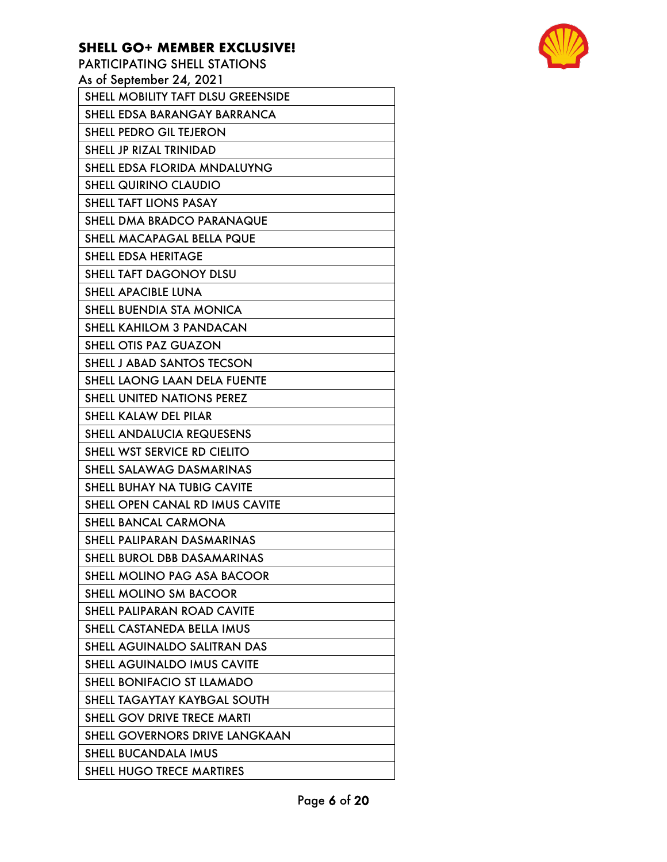PARTICIPATING SHELL STATIONS As of September 24, 2021 SHELL MOBILITY TAFT DLSU GREENSIDE SHELL EDSA BARANGAY BARRANCA SHELL PEDRO GIL TEJERON SHELL JP RIZAL TRINIDAD SHELL EDSA FLORIDA MNDALUYNG SHELL QUIRINO CLAUDIO SHELL TAFT LIONS PASAY SHELL DMA BRADCO PARANAQUE SHELL MACAPAGAL BELLA PQUE SHELL EDSA HERITAGE SHELL TAFT DAGONOY DLSU SHELL APACIBLE LUNA SHELL BUENDIA STA MONICA SHELL KAHILOM 3 PANDACAN SHELL OTIS PAZ GUAZON SHELL J ABAD SANTOS TECSON SHELL LAONG LAAN DELA FUENTE SHELL UNITED NATIONS PEREZ SHELL KALAW DEL PILAR SHELL ANDALUCIA REQUESENS SHELL WST SERVICE RD CIELITO SHELL SALAWAG DASMARINAS SHELL BUHAY NA TUBIG CAVITE SHELL OPEN CANAL RD IMUS CAVITE SHELL BANCAL CARMONA SHELL PALIPARAN DASMARINAS SHELL BUROL DBB DASAMARINAS SHELL MOLINO PAG ASA BACOOR SHELL MOLINO SM BACOOR SHELL PALIPARAN ROAD CAVITE SHELL CASTANEDA BELLA IMUS SHELL AGUINALDO SALITRAN DAS SHELL AGUINALDO IMUS CAVITE SHELL BONIFACIO ST LLAMADO SHELL TAGAYTAY KAYBGAL SOUTH SHELL GOV DRIVE TRECE MARTI SHELL GOVERNORS DRIVE LANGKAAN SHELL BUCANDALA IMUS SHELL HUGO TRECE MARTIRES

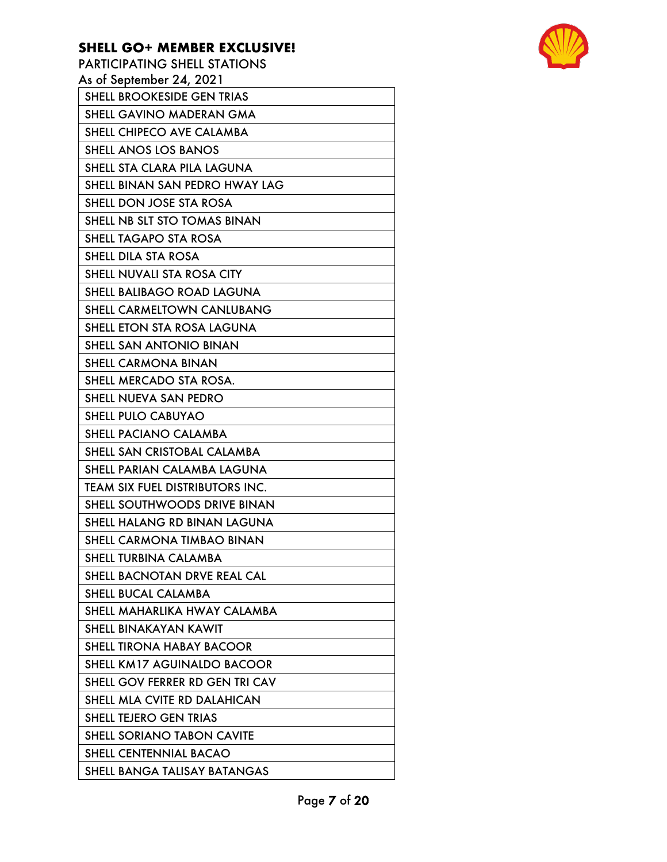| <b>PARTICIPATING SHELL STATIONS</b>    |
|----------------------------------------|
| As of September 24, 2021               |
| <b>SHELL BROOKESIDE GEN TRIAS</b>      |
| SHELL GAVINO MADERAN GMA               |
| SHELL CHIPECO AVE CALAMBA              |
| <b>SHELL ANOS LOS BANOS</b>            |
| SHELL STA CLARA PILA LAGUNA            |
| SHELL BINAN SAN PEDRO HWAY LAG         |
| SHELL DON JOSE STA ROSA                |
| SHELL NB SLT STO TOMAS BINAN           |
| <b>SHELL TAGAPO STA ROSA</b>           |
| SHELL DILA STA ROSA                    |
| SHELL NUVALI STA ROSA CITY             |
| <b>SHELL BALIBAGO ROAD LAGUNA</b>      |
| <b>SHELL CARMELTOWN CANLUBANG</b>      |
| SHELL ETON STA ROSA LAGUNA             |
| SHELL SAN ANTONIO BINAN                |
| <b>SHELL CARMONA BINAN</b>             |
| SHELL MERCADO STA ROSA.                |
| SHELL NUEVA SAN PEDRO                  |
| <b>SHELL PULO CABUYAO</b>              |
| <b>SHELL PACIANO CALAMBA</b>           |
| SHELL SAN CRISTOBAL CALAMBA            |
| SHELL PARIAN CALAMBA LAGUNA            |
| <b>TEAM SIX FUEL DISTRIBUTORS INC.</b> |
| SHELL SOUTHWOODS DRIVE BINAN           |
| SHELL HALANG RD BINAN LAGUNA           |
| SHELL CARMONA TIMBAO BINAN             |
| SHELL TURBINA CALAMBA                  |
| SHELL BACNOTAN DRVE REAL CAL           |
| SHELL BUCAL CALAMBA                    |
| SHELL MAHARLIKA HWAY CALAMBA           |
| SHELL BINAKAYAN KAWIT                  |
| <b>SHELL TIRONA HABAY BACOOR</b>       |
| SHELL KM17 AGUINALDO BACOOR            |
| SHELL GOV FERRER RD GEN TRI CAV        |
| SHELL MLA CVITE RD DALAHICAN           |
| SHELL TEJERO GEN TRIAS                 |
| <b>SHELL SORIANO TABON CAVITE</b>      |
| SHELL CENTENNIAL BACAO                 |
| SHELL BANGA TALISAY BATANGAS           |

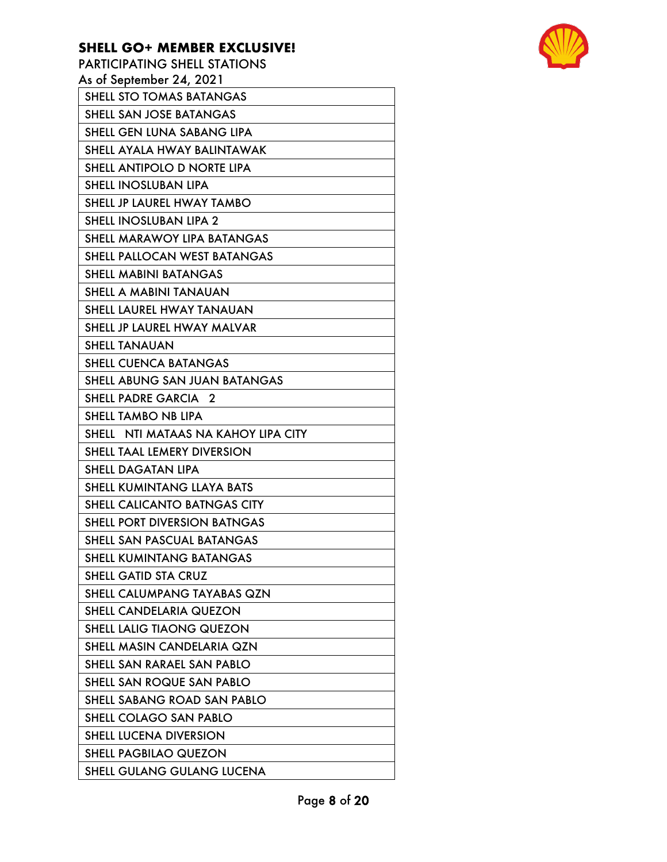| PARTICIPATING SHELL STATIONS        |
|-------------------------------------|
| As of September 24, 2021            |
| SHELL STO TOMAS BATANGAS            |
| SHELL SAN JOSE BATANGAS             |
| SHELL GEN LUNA SABANG LIPA          |
| SHELL AYALA HWAY BALINTAWAK         |
| SHELL ANTIPOLO D NORTE LIPA         |
| <b>SHELL INOSLUBAN LIPA</b>         |
| SHELL JP LAUREL HWAY TAMBO          |
| <b>SHELL INOSLUBAN LIPA 2</b>       |
| SHELL MARAWOY LIPA BATANGAS         |
| SHELL PALLOCAN WEST BATANGAS        |
| <b>SHELL MABINI BATANGAS</b>        |
| SHELL A MABINI TANAUAN              |
| SHELL LAUREL HWAY TANAUAN           |
| SHELL JP LAUREL HWAY MALVAR         |
| <b>SHELL TANAUAN</b>                |
| <b>SHELL CUENCA BATANGAS</b>        |
| SHELL ABUNG SAN JUAN BATANGAS       |
| <b>SHELL PADRE GARCIA 2</b>         |
| SHELL TAMBO NB LIPA                 |
| SHELL NTI MATAAS NA KAHOY LIPA CITY |
| <b>SHELL TAAL LEMERY DIVERSION</b>  |
| <b>SHELL DAGATAN LIPA</b>           |
| SHELL KUMINTANG LLAYA BATS          |
| <b>SHELL CALICANTO BATNGAS CITY</b> |
| <b>SHELL PORT DIVERSION BATNGAS</b> |
| SHELL SAN PASCUAL BATANGAS          |
| <b>SHELL KUMINTANG BATANGAS</b>     |
| <b>SHELL GATID STA CRUZ</b>         |
| SHELL CALUMPANG TAYABAS QZN         |
| SHELL CANDELARIA QUEZON             |
| <b>SHELL LALIG TIAONG QUEZON</b>    |
| SHELL MASIN CANDELARIA QZN          |
| SHELL SAN RARAEL SAN PABLO          |
| SHELL SAN ROQUE SAN PABLO           |
| SHELL SABANG ROAD SAN PABLO         |
| SHELL COLAGO SAN PABLO              |
| SHELL LUCENA DIVERSION              |
| <b>SHELL PAGBILAO QUEZON</b>        |
| SHELL GULANG GULANG LUCENA          |

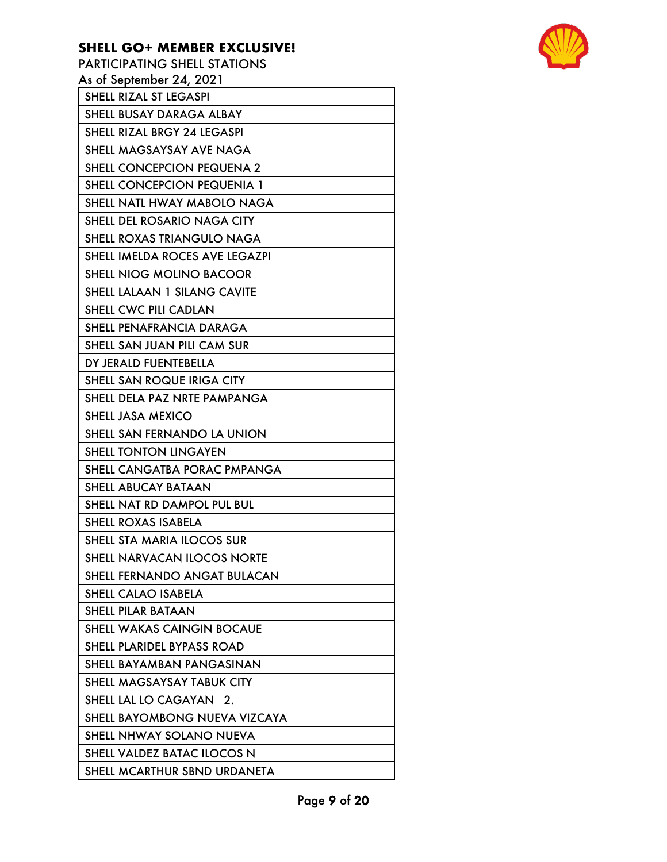PARTICIPATING SHELL STATIONS As of September 24, 2021 SHELL RIZAL ST LEGASPI SHELL BUSAY DARAGA ALBAY SHELL RIZAL BRGY 24 LEGASPI SHELL MAGSAYSAY AVE NAGA SHELL CONCEPCION PEQUENA 2 SHELL CONCEPCION PEQUENIA 1 SHELL NATL HWAY MABOLO NAGA SHELL DEL ROSARIO NAGA CITY SHELL ROXAS TRIANGULO NAGA SHELL IMELDA ROCES AVE LEGAZPI SHELL NIOG MOLINO BACOOR SHELL LALAAN 1 SILANG CAVITE SHELL CWC PILI CADLAN SHELL PENAFRANCIA DARAGA SHELL SAN JUAN PILI CAM SUR DY JERALD FUENTEBELLA SHELL SAN ROQUE IRIGA CITY SHELL DELA PAZ NRTE PAMPANGA SHELL JASA MEXICO SHELL SAN FERNANDO LA UNION SHELL TONTON LINGAYEN SHELL CANGATBA PORAC PMPANGA SHELL ABUCAY BATAAN SHELL NAT RD DAMPOL PUL BUL SHELL ROXAS ISABELA SHELL STA MARIA ILOCOS SUR SHELL NARVACAN ILOCOS NORTE SHELL FERNANDO ANGAT BULACAN SHELL CALAO ISABELA SHELL PILAR BATAAN SHELL WAKAS CAINGIN BOCAUE SHELL PLARIDEL BYPASS ROAD SHELL BAYAMBAN PANGASINAN SHELL MAGSAYSAY TABUK CITY SHELL LAL LO CAGAYAN 2. SHELL BAYOMBONG NUEVA VIZCAYA SHELL NHWAY SOLANO NUEVA SHELL VALDEZ BATAC ILOCOS N

SHELL MCARTHUR SBND URDANETA

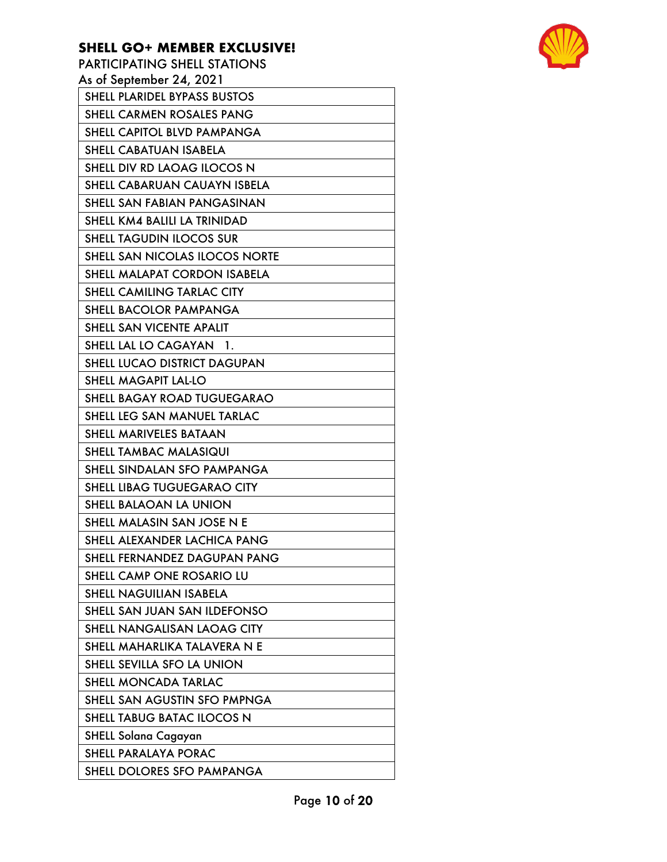PARTICIPATING SHELL STATIONS As of September 24, 2021 SHELL PLARIDEL BYPASS BUSTOS SHELL CARMEN ROSALES PANG SHELL CAPITOL BLVD PAMPANGA SHELL CABATUAN ISABELA SHELL DIV RD LAOAG ILOCOS N SHELL CABARUAN CAUAYN ISBELA SHELL SAN FABIAN PANGASINAN SHELL KM4 BALILI LA TRINIDAD SHELL TAGUDIN ILOCOS SUR SHELL SAN NICOLAS ILOCOS NORTE SHELL MALAPAT CORDON ISABELA SHELL CAMILING TARLAC CITY SHELL BACOLOR PAMPANGA SHELL SAN VICENTE APALIT SHELL LAL LO CAGAYAN 1. SHELL LUCAO DISTRICT DAGUPAN SHELL MAGAPIT LAL-LO SHELL BAGAY ROAD TUGUEGARAO SHELL LEG SAN MANUEL TARLAC SHELL MARIVELES BATAAN SHELL TAMBAC MALASIQUI SHELL SINDALAN SFO PAMPANGA SHELL LIBAG TUGUEGARAO CITY SHELL BALAOAN LA UNION SHELL MALASIN SAN JOSE N E SHELL ALEXANDER LACHICA PANG SHELL FERNANDEZ DAGUPAN PANG SHELL CAMP ONE ROSARIO LU SHELL NAGUILIAN ISABELA SHELL SAN JUAN SAN ILDEFONSO SHELL NANGALISAN LAOAG CITY SHELL MAHARLIKA TALAVERA N E SHELL SEVILLA SFO LA UNION SHELL MONCADA TARLAC SHELL SAN AGUSTIN SFO PMPNGA SHELL TABUG BATAC ILOCOS N SHELL Solana Cagayan SHELL PARALAYA PORAC SHELL DOLORES SFO PAMPANGA

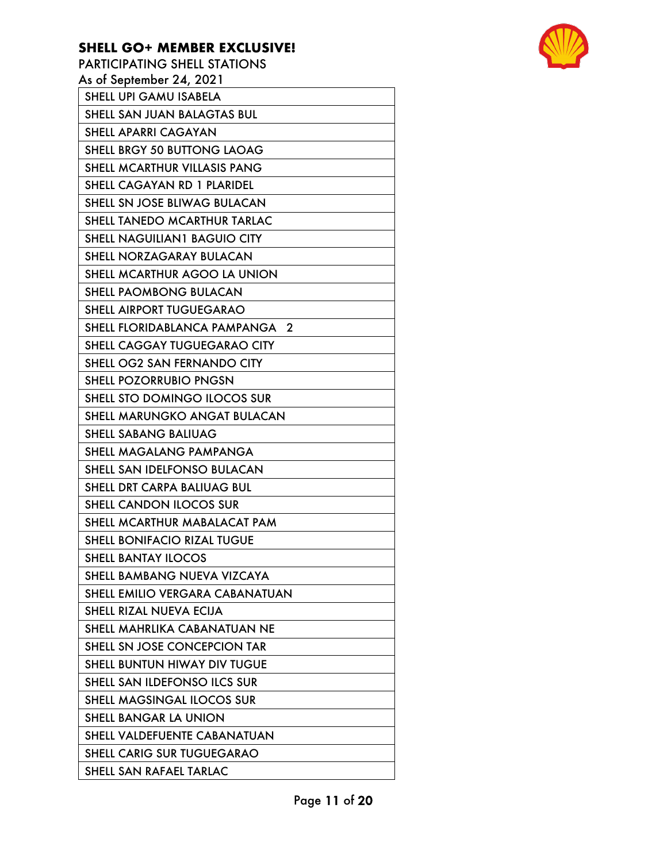PARTICIPATING SHELL STATIONS As of September 24, 2021 SHELL UPI GAMU ISABELA SHELL SAN JUAN BALAGTAS BUL SHELL APARRI CAGAYAN SHELL BRGY 50 BUTTONG LAOAG SHELL MCARTHUR VILLASIS PANG SHELL CAGAYAN RD 1 PLARIDEL SHELL SN JOSE BLIWAG BULACAN SHELL TANEDO MCARTHUR TARLAC SHELL NAGUILIAN1 BAGUIO CITY SHELL NORZAGARAY BULACAN SHELL MCARTHUR AGOO LA UNION SHELL PAOMBONG BULACAN SHELL AIRPORT TUGUEGARAO SHELL FLORIDABLANCA PAMPANGA 2 SHELL CAGGAY TUGUEGARAO CITY SHELL OG2 SAN FERNANDO CITY SHELL POZORRUBIO PNGSN SHELL STO DOMINGO ILOCOS SUR SHELL MARUNGKO ANGAT BULACAN SHELL SABANG BALIUAG SHELL MAGALANG PAMPANGA SHELL SAN IDELFONSO BULACAN SHELL DRT CARPA BALIUAG BUL SHELL CANDON ILOCOS SUR SHELL MCARTHUR MABALACAT PAM SHELL BONIFACIO RIZAL TUGUE SHELL BANTAY ILOCOS SHELL BAMBANG NUEVA VIZCAYA SHELL EMILIO VERGARA CABANATUAN SHELL RIZAL NUEVA ECIJA SHELL MAHRLIKA CABANATUAN NE SHELL SN JOSE CONCEPCION TAR SHELL BUNTUN HIWAY DIV TUGUE SHELL SAN ILDEFONSO ILCS SUR SHELL MAGSINGAL ILOCOS SUR SHELL BANGAR LA UNION SHELL VALDEFUENTE CABANATUAN SHELL CARIG SUR TUGUEGARAO SHELL SAN RAFAEL TARLAC

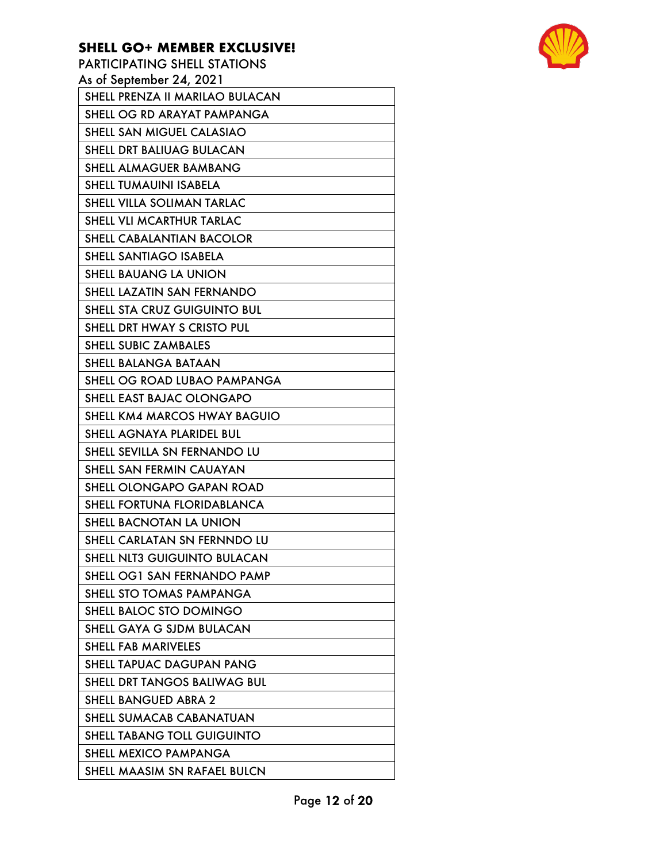PARTICIPATING SHELL STATIONS As of September 24, 2021 SHELL PRENZA II MARILAO BULACAN SHELL OG RD ARAYAT PAMPANGA SHELL SAN MIGUEL CALASIAO SHELL DRT BALIUAG BULACAN SHELL ALMAGUER BAMBANG SHELL TUMAUINI ISABELA SHELL VILLA SOLIMAN TARLAC SHELL VLI MCARTHUR TARLAC SHELL CABALANTIAN BACOLOR SHELL SANTIAGO ISABELA SHELL BAUANG LA UNION SHELL LAZATIN SAN FERNANDO SHELL STA CRUZ GUIGUINTO BUL SHELL DRT HWAY S CRISTO PUL SHELL SUBIC ZAMBALES SHELL BALANGA BATAAN SHELL OG ROAD LUBAO PAMPANGA SHELL EAST BAJAC OLONGAPO SHELL KM4 MARCOS HWAY BAGUIO SHELL AGNAYA PLARIDEL BUL SHELL SEVILLA SN FERNANDO LU SHELL SAN FERMIN CAUAYAN SHELL OLONGAPO GAPAN ROAD SHELL FORTUNA FLORIDABLANCA SHELL BACNOTAN LA UNION SHELL CARLATAN SN FERNNDO LU SHELL NLT3 GUIGUINTO BULACAN SHELL OG1 SAN FERNANDO PAMP SHELL STO TOMAS PAMPANGA SHELL BALOC STO DOMINGO SHELL GAYA G SJDM BULACAN SHELL FAB MARIVELES SHELL TAPUAC DAGUPAN PANG SHELL DRT TANGOS BALIWAG BUL SHELL BANGUED ABRA 2 SHELL SUMACAB CABANATUAN SHELL TABANG TOLL GUIGUINTO SHELL MEXICO PAMPANGA SHELL MAASIM SN RAFAEL BULCN

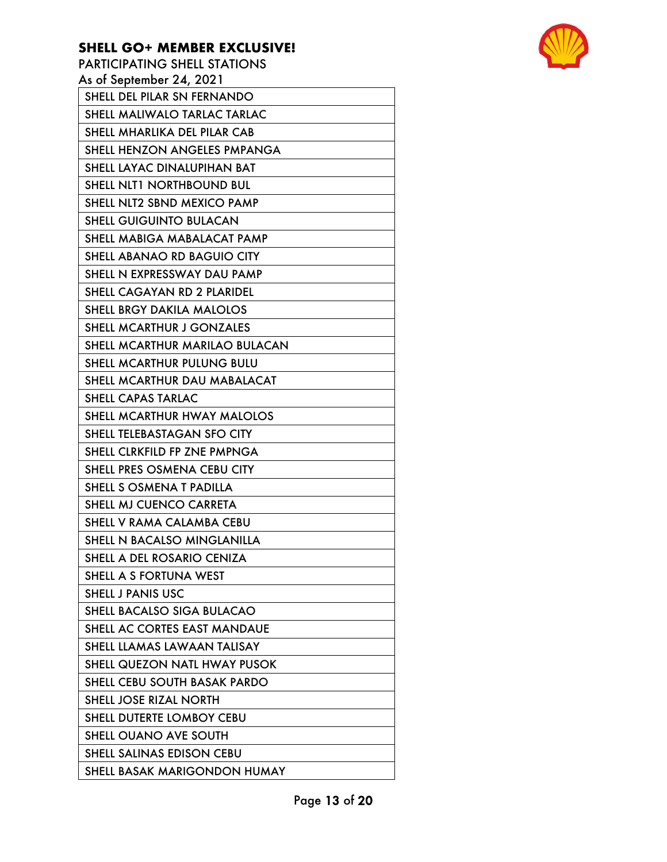PARTICIPATING SHELL STATIONS As of September 24, 2021 SHELL DEL PILAR SN FERNANDO SHELL MALIWALO TARLAC TARLAC SHELL MHARLIKA DEL PILAR CAB SHELL HENZON ANGELES PMPANGA SHELL LAYAC DINALUPIHAN BAT SHELL NLT1 NORTHBOUND BUL SHELL NLT2 SBND MEXICO PAMP SHELL GUIGUINTO BULACAN SHELL MABIGA MABALACAT PAMP SHELL ABANAO RD BAGUIO CITY SHELL N EXPRESSWAY DAU PAMP SHELL CAGAYAN RD 2 PLARIDEL SHELL BRGY DAKILA MALOLOS SHELL MCARTHUR J GONZALES SHELL MCARTHUR MARILAO BULACAN SHELL MCARTHUR PULUNG BULU SHELL MCARTHUR DAU MABALACAT SHELL CAPAS TARLAC SHELL MCARTHUR HWAY MALOLOS SHELL TELEBASTAGAN SFO CITY SHELL CLRKFILD FP ZNE PMPNGA SHELL PRES OSMENA CEBU CITY SHELL S OSMENA T PADILLA SHELL MJ CUENCO CARRETA SHELL V RAMA CALAMBA CEBU SHELL N BACALSO MINGLANILLA SHELL A DEL ROSARIO CENIZA SHELL A S FORTUNA WEST SHELL J PANIS USC SHELL BACALSO SIGA BULACAO SHELL AC CORTES EAST MANDAUE SHELL LLAMAS LAWAAN TALISAY SHELL QUEZON NATL HWAY PUSOK SHELL CEBU SOUTH BASAK PARDO SHELL JOSE RIZAL NORTH SHELL DUTERTE LOMBOY CEBU SHELL OUANO AVE SOUTH SHELL SALINAS EDISON CEBU SHELL BASAK MARIGONDON HUMAY

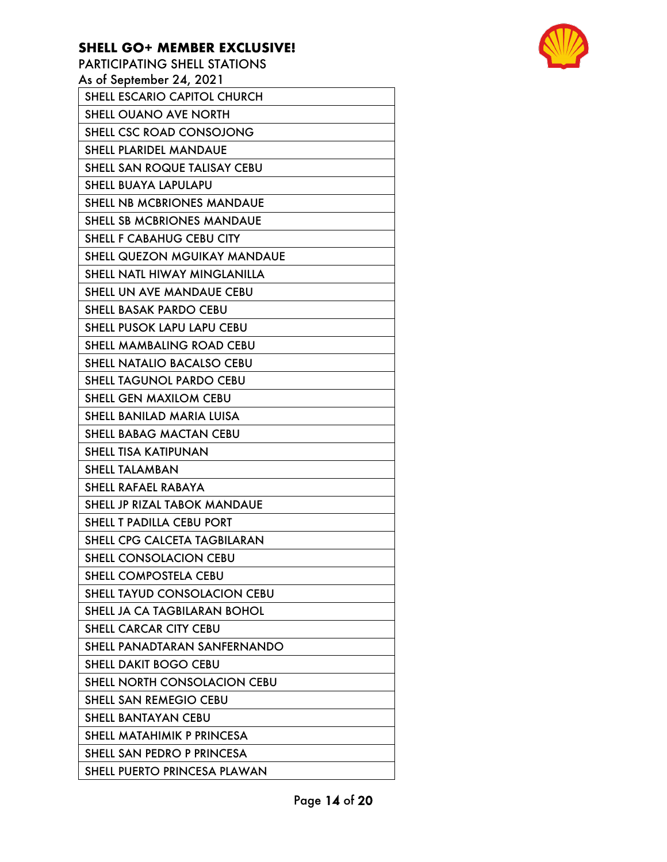PARTICIPATING SHELL STATIONS As of September 24, 2021 SHELL ESCARIO CAPITOL CHURCH SHELL OUANO AVE NORTH SHELL CSC ROAD CONSOJONG SHELL PLARIDEL MANDAUE SHELL SAN ROQUE TALISAY CEBU SHELL BUAYA LAPULAPU SHELL NB MCBRIONES MANDAUE SHELL SB MCBRIONES MANDAUE SHELL F CABAHUG CEBU CITY SHELL QUEZON MGUIKAY MANDAUE SHELL NATL HIWAY MINGLANILLA SHELL UN AVE MANDAUE CEBU SHELL BASAK PARDO CEBU SHELL PUSOK LAPU LAPU CEBU SHELL MAMBALING ROAD CEBU SHELL NATALIO BACALSO CEBU SHELL TAGUNOL PARDO CEBU SHELL GEN MAXILOM CEBU SHELL BANILAD MARIA LUISA SHELL BABAG MACTAN CEBU SHELL TISA KATIPUNAN SHELL TALAMBAN SHELL RAFAEL RABAYA SHELL JP RIZAL TABOK MANDAUE SHELL T PADILLA CEBU PORT SHELL CPG CALCETA TAGBILARAN SHELL CONSOLACION CEBU SHELL COMPOSTELA CEBU SHELL TAYUD CONSOLACION CEBU SHELL JA CA TAGBILARAN BOHOL SHELL CARCAR CITY CEBU SHELL PANADTARAN SANFERNANDO SHELL DAKIT BOGO CEBU SHELL NORTH CONSOLACION CEBU SHELL SAN REMEGIO CEBU SHELL BANTAYAN CEBU SHELL MATAHIMIK P PRINCESA SHELL SAN PEDRO P PRINCESA SHELL PUERTO PRINCESA PLAWAN

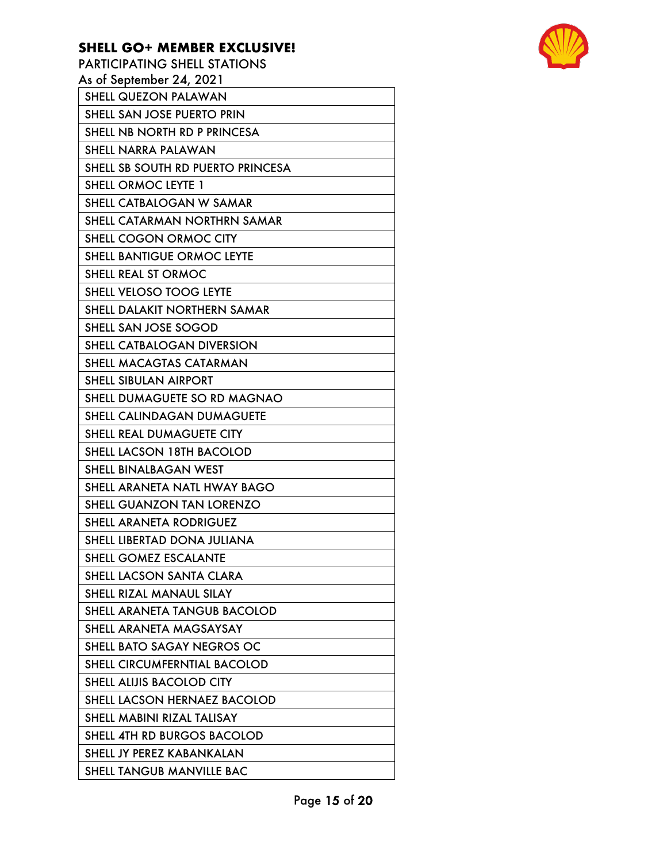PARTICIPATING SHELL STATIONS As of September 24, 2021 SHELL QUEZON PALAWAN SHELL SAN JOSE PUERTO PRIN SHELL NB NORTH RD P PRINCESA SHELL NARRA PALAWAN SHELL SB SOUTH RD PUERTO PRINCESA SHELL ORMOC LEYTE 1 SHELL CATBALOGAN W SAMAR SHELL CATARMAN NORTHRN SAMAR SHELL COGON ORMOC CITY SHELL BANTIGUE ORMOC LEYTE SHELL REAL ST ORMOC SHELL VELOSO TOOG LEYTE SHELL DALAKIT NORTHERN SAMAR SHELL SAN JOSE SOGOD SHELL CATBALOGAN DIVERSION SHELL MACAGTAS CATARMAN SHELL SIBULAN AIRPORT SHELL DUMAGUETE SO RD MAGNAO SHELL CALINDAGAN DUMAGUETE SHELL REAL DUMAGUETE CITY SHELL LACSON 18TH BACOLOD SHELL BINALBAGAN WEST SHELL ARANETA NATL HWAY BAGO SHELL GUANZON TAN LORENZO SHELL ARANETA RODRIGUEZ SHELL LIBERTAD DONA JULIANA SHELL GOMEZ ESCALANTE SHELL LACSON SANTA CLARA SHELL RIZAL MANAUL SILAY SHELL ARANETA TANGUB BACOLOD SHELL ARANETA MAGSAYSAY SHELL BATO SAGAY NEGROS OC SHELL CIRCUMFERNTIAL BACOLOD SHELL ALIJIS BACOLOD CITY SHELL LACSON HERNAEZ BACOLOD SHELL MABINI RIZAL TALISAY SHELL 4TH RD BURGOS BACOLOD SHELL JY PEREZ KABANKALAN SHELL TANGUB MANVILLE BAC

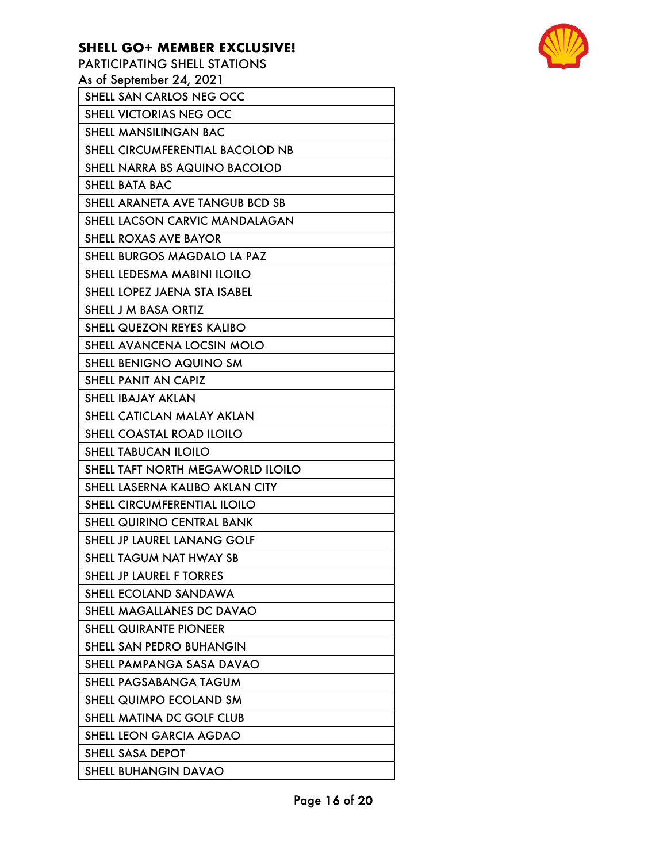PARTICIPATING SHELL STATIONS As of September 24, 2021 SHELL SAN CARLOS NEG OCC SHELL VICTORIAS NEG OCC SHELL MANSILINGAN BAC SHELL CIRCUMFERENTIAL BACOLOD NB SHELL NARRA BS AQUINO BACOLOD SHELL BATA BAC SHELL ARANETA AVE TANGUB BCD SB SHELL LACSON CARVIC MANDALAGAN SHELL ROXAS AVE BAYOR SHELL BURGOS MAGDALO LA PAZ SHELL LEDESMA MABINI ILOILO SHELL LOPEZ JAENA STA ISABEL SHELL J M BASA ORTIZ SHELL QUEZON REYES KALIBO SHELL AVANCENA LOCSIN MOLO SHELL BENIGNO AQUINO SM SHELL PANIT AN CAPIZ SHELL IBAJAY AKLAN SHELL CATICLAN MALAY AKLAN SHELL COASTAL ROAD ILOILO SHELL TABUCAN ILOILO SHELL TAFT NORTH MEGAWORLD ILOILO SHELL LASERNA KALIBO AKLAN CITY SHELL CIRCUMFERENTIAL ILOILO SHELL QUIRINO CENTRAL BANK SHELL JP LAUREL LANANG GOLF SHELL TAGUM NAT HWAY SB SHELL JP LAUREL F TORRES SHELL ECOLAND SANDAWA SHELL MAGALLANES DC DAVAO SHELL QUIRANTE PIONEER SHELL SAN PEDRO BUHANGIN SHELL PAMPANGA SASA DAVAO SHELL PAGSABANGA TAGUM SHELL QUIMPO ECOLAND SM SHELL MATINA DC GOLF CLUB SHELL LEON GARCIA AGDAO SHELL SASA DEPOT SHELL BUHANGIN DAVAO



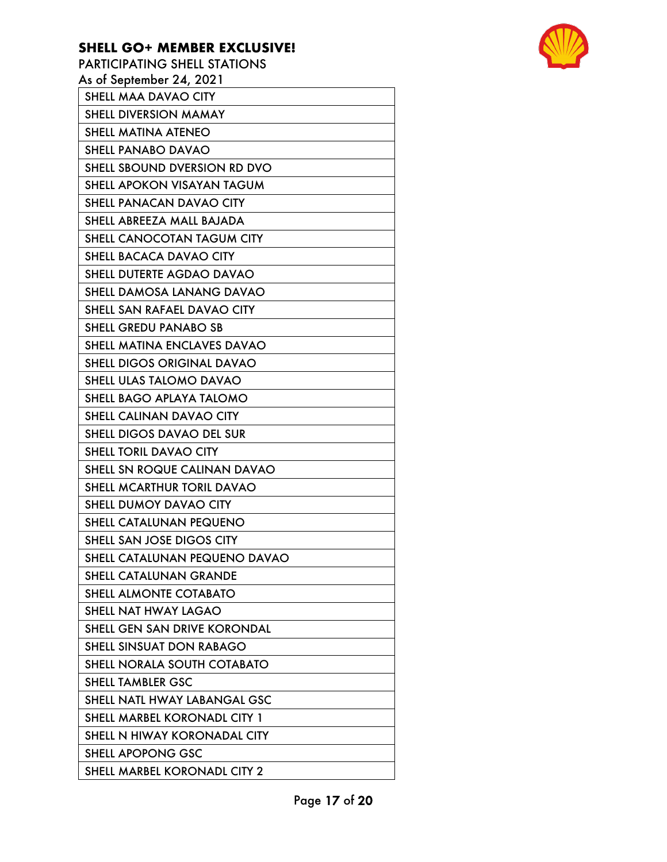| FARIICIFAIIING SHELL SIATIONS     |
|-----------------------------------|
| As of September 24, 2021          |
| SHELL MAA DAVAO CITY              |
| SHELL DIVERSION MAMAY             |
| SHELL MATINA ATENEO               |
| SHELL PANABO DAVAO                |
| SHELL SBOUND DVERSION RD DVO      |
| SHELL APOKON VISAYAN TAGUM        |
| SHELL PANACAN DAVAO CITY          |
| SHELL ABREEZA MALL BAJADA         |
| SHELL CANOCOTAN TAGUM CITY        |
| SHELL BACACA DAVAO CITY           |
| SHELL DUTERTE AGDAO DAVAO         |
| SHELL DAMOSA LANANG DAVAO         |
| SHELL SAN RAFAEL DAVAO CITY       |
| <b>SHELL GREDU PANABO SB</b>      |
| SHELL MATINA ENCLAVES DAVAO       |
| <b>SHELL DIGOS ORIGINAL DAVAO</b> |
| <b>SHELL ULAS TALOMO DAVAO</b>    |
| SHELL BAGO APLAYA TALOMO          |
| SHELL CALINAN DAVAO CITY          |
| SHELL DIGOS DAVAO DEL SUR         |
| SHELL TORIL DAVAO CITY            |
| SHELL SN ROQUE CALINAN DAVAO      |
| SHELL MCARTHUR TORIL DAVAO        |
| SHELL DUMOY DAVAO CITY            |
| SHELL CATALUNAN PEQUENO           |
| SHELL SAN JOSE DIGOS CITY         |
| SHELL CATALUNAN PEQUENO DAVAO     |
| SHELL CATALUNAN GRANDE            |
| SHELL ALMONTE COTABATO            |
| SHELL NAT HWAY LAGAO              |
| SHELL GEN SAN DRIVE KORONDAL      |
| SHELL SINSUAT DON RABAGO          |
| SHELL NORALA SOUTH COTABATO       |
| <b>SHELL TAMBLER GSC</b>          |
| SHELL NATL HWAY LABANGAL GSC      |
| SHELL MARBEL KORONADL CITY 1      |
| SHELL N HIWAY KORONADAL CITY      |
| SHELL APOPONG GSC                 |
| SHELL MARBEL KORONADL CITY 2      |

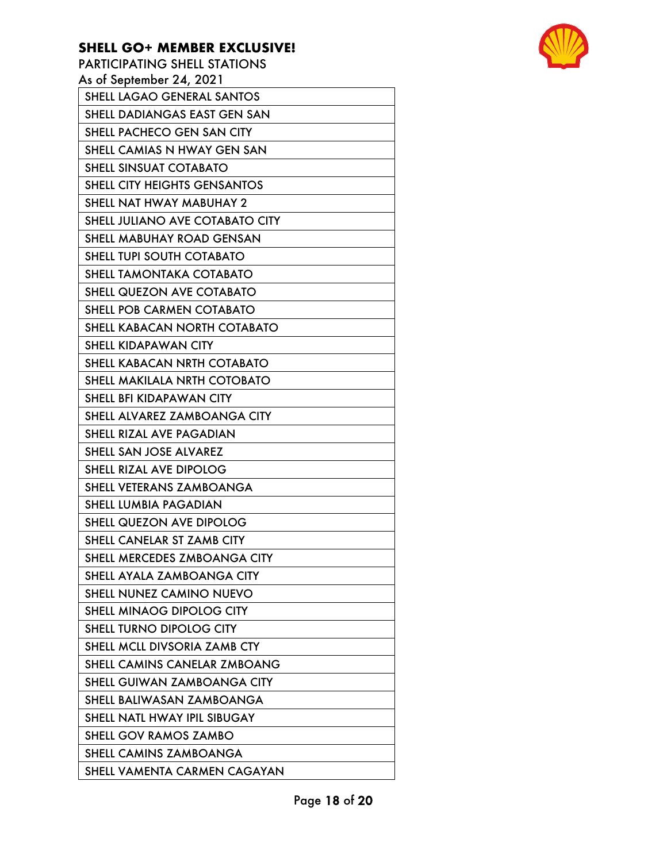PARTICIPATING SHELL STATIONS As of September 24, 2021 SHELL LAGAO GENERAL SANTOS SHELL DADIANGAS EAST GEN SAN SHELL PACHECO GEN SAN CITY SHELL CAMIAS N HWAY GEN SAN SHELL SINSUAT COTABATO SHELL CITY HEIGHTS GENSANTOS SHELL NAT HWAY MABUHAY 2 SHELL JULIANO AVE COTABATO CITY SHELL MABUHAY ROAD GENSAN SHELL TUPI SOUTH COTABATO SHELL TAMONTAKA COTABATO SHELL QUEZON AVE COTABATO SHELL POB CARMEN COTABATO SHELL KABACAN NORTH COTABATO SHELL KIDAPAWAN CITY SHELL KABACAN NRTH COTABATO SHELL MAKILALA NRTH COTOBATO SHELL BFI KIDAPAWAN CITY SHELL ALVAREZ ZAMBOANGA CITY SHELL RIZAL AVE PAGADIAN SHELL SAN JOSE ALVAREZ SHELL RIZAL AVE DIPOLOG SHELL VETERANS ZAMBOANGA SHELL LUMBIA PAGADIAN SHELL QUEZON AVE DIPOLOG SHELL CANELAR ST ZAMB CITY SHELL MERCEDES ZMBOANGA CITY SHELL AYALA ZAMBOANGA CITY SHELL NUNEZ CAMINO NUEVO SHELL MINAOG DIPOLOG CITY SHELL TURNO DIPOLOG CITY SHELL MCLL DIVSORIA ZAMB CTY SHELL CAMINS CANELAR ZMBOANG SHELL GUIWAN ZAMBOANGA CITY SHELL BALIWASAN ZAMBOANGA SHELL NATL HWAY IPIL SIBUGAY SHELL GOV RAMOS ZAMBO SHELL CAMINS ZAMBOANGA SHELL VAMENTA CARMEN CAGAYAN

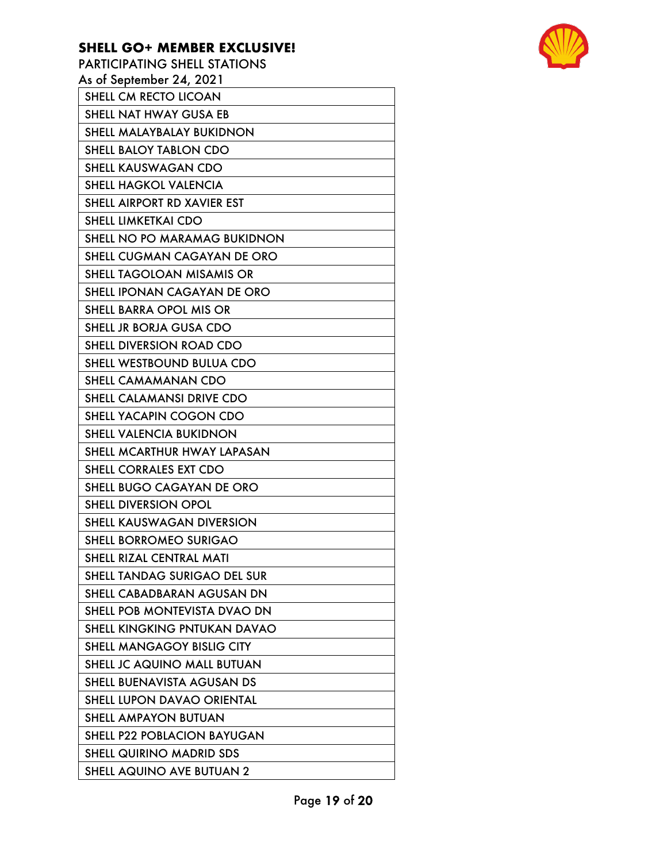PARTICIPATING SHELL STATIONS As of September 24, 2021 SHELL CM RECTO LICOAN SHELL NAT HWAY GUSA EB SHELL MALAYBALAY BUKIDNON SHELL BALOY TABLON CDO SHELL KAUSWAGAN CDO SHELL HAGKOL VALENCIA SHELL AIRPORT RD XAVIER EST SHELL LIMKETKAI CDO SHELL NO PO MARAMAG BUKIDNON SHELL CUGMAN CAGAYAN DE ORO SHELL TAGOLOAN MISAMIS OR SHELL IPONAN CAGAYAN DE ORO SHELL BARRA OPOL MIS OR SHELL JR BORJA GUSA CDO SHELL DIVERSION ROAD CDO SHELL WESTBOUND BULUA CDO SHELL CAMAMANAN CDO SHELL CALAMANSI DRIVE CDO SHELL YACAPIN COGON CDO SHELL VALENCIA BUKIDNON SHELL MCARTHUR HWAY LAPASAN SHELL CORRALES EXT CDO SHELL BUGO CAGAYAN DE ORO SHELL DIVERSION OPOL SHELL KAUSWAGAN DIVERSION SHELL BORROMEO SURIGAO SHELL RIZAL CENTRAL MATI SHELL TANDAG SURIGAO DEL SUR SHELL CABADBARAN AGUSAN DN SHELL POB MONTEVISTA DVAO DN SHELL KINGKING PNTUKAN DAVAO SHELL MANGAGOY BISLIG CITY SHELL JC AQUINO MALL BUTUAN SHELL BUENAVISTA AGUSAN DS SHELL LUPON DAVAO ORIENTAL SHELL AMPAYON BUTUAN SHELL P22 POBLACION BAYUGAN SHELL QUIRINO MADRID SDS SHELL AQUINO AVE BUTUAN 2